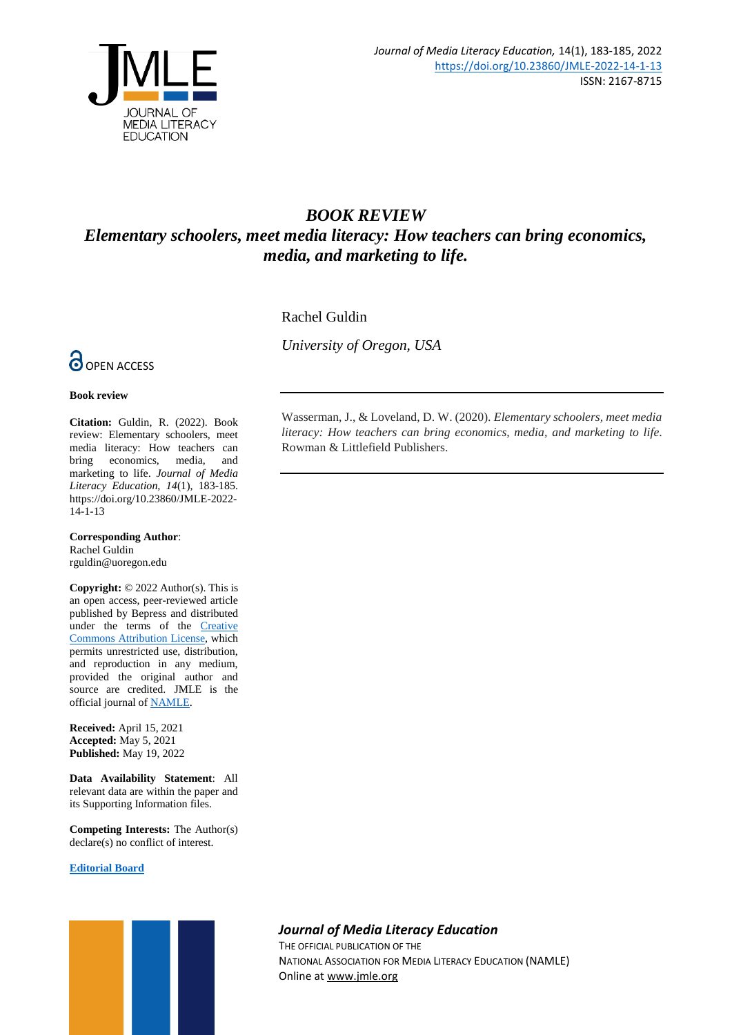

# *BOOK REVIEW Elementary schoolers, meet media literacy: How teachers can bring economics, media, and marketing to life.*

Rachel Guldin

*University of Oregon, USA*



### **Book review**

**Citation:** Guldin, R. (2022). Book review: Elementary schoolers, meet media literacy: How teachers can bring economics, media, and marketing to life. *Journal of Media Literacy Education, 14*(1), 183-185. https://doi.org/10.23860/JMLE-2022- 14-1-13

**Corresponding Author**: Rachel Guldin rguldin@uoregon.edu

**Copyright:** © 2022 Author(s). This is an open access, peer-reviewed article published by Bepress and distributed under the terms of the [Creative](https://creativecommons.org/licenses/by/4.0/)  [Commons Attribution License,](https://creativecommons.org/licenses/by/4.0/) which permits unrestricted use, distribution, and reproduction in any medium, provided the original author and source are credited. JMLE is the official journal o[f NAMLE.](https://namle.net/)

**Received:** April 15, 2021 **Accepted:** May 5, 2021 **Published:** May 19, 2022

**Data Availability Statement**: All relevant data are within the paper and its Supporting Information files.

**Competing Interests:** The Author(s) declare(s) no conflict of interest.

### **[Editorial Board](https://digitalcommons.uri.edu/jmle/editorialboard.html)**



Wasserman, J., & Loveland, D. W. (2020). *Elementary schoolers, meet media literacy: How teachers can bring economics, media, and marketing to life*. Rowman & Littlefield Publishers.

## *Journal of Media Literacy Education*

THE OFFICIAL PUBLICATION OF THE NATIONAL ASSOCIATION FOR MEDIA LITERACY EDUCATION (NAMLE) Online at [www.jmle.org](http://www.jmle.org/)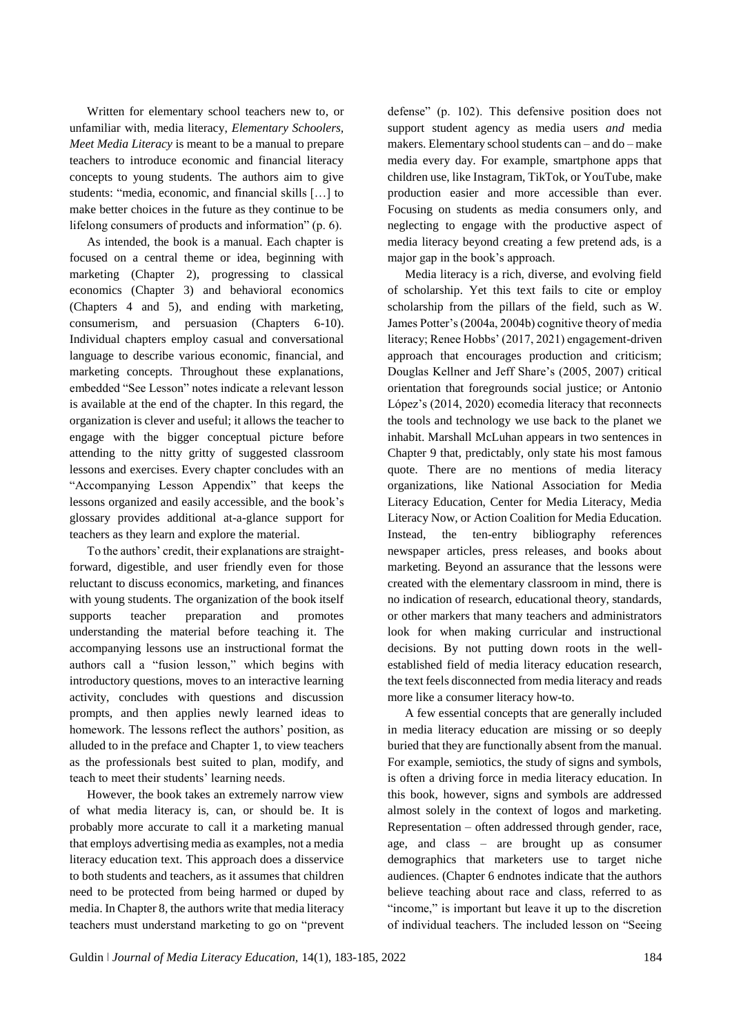Written for elementary school teachers new to, or unfamiliar with, media literacy, *Elementary Schoolers, Meet Media Literacy* is meant to be a manual to prepare teachers to introduce economic and financial literacy concepts to young students. The authors aim to give students: "media, economic, and financial skills […] to make better choices in the future as they continue to be lifelong consumers of products and information" (p. 6).

As intended, the book is a manual. Each chapter is focused on a central theme or idea, beginning with marketing (Chapter 2), progressing to classical economics (Chapter 3) and behavioral economics (Chapters 4 and 5), and ending with marketing, consumerism, and persuasion (Chapters 6-10). Individual chapters employ casual and conversational language to describe various economic, financial, and marketing concepts. Throughout these explanations, embedded "See Lesson" notes indicate a relevant lesson is available at the end of the chapter. In this regard, the organization is clever and useful; it allows the teacher to engage with the bigger conceptual picture before attending to the nitty gritty of suggested classroom lessons and exercises. Every chapter concludes with an "Accompanying Lesson Appendix" that keeps the lessons organized and easily accessible, and the book's glossary provides additional at-a-glance support for teachers as they learn and explore the material.

To the authors' credit, their explanations are straightforward, digestible, and user friendly even for those reluctant to discuss economics, marketing, and finances with young students. The organization of the book itself supports teacher preparation and promotes understanding the material before teaching it. The accompanying lessons use an instructional format the authors call a "fusion lesson," which begins with introductory questions, moves to an interactive learning activity, concludes with questions and discussion prompts, and then applies newly learned ideas to homework. The lessons reflect the authors' position, as alluded to in the preface and Chapter 1, to view teachers as the professionals best suited to plan, modify, and teach to meet their students' learning needs.

However, the book takes an extremely narrow view of what media literacy is, can, or should be. It is probably more accurate to call it a marketing manual that employs advertising media as examples, not a media literacy education text. This approach does a disservice to both students and teachers, as it assumes that children need to be protected from being harmed or duped by media. In Chapter 8, the authors write that media literacy teachers must understand marketing to go on "prevent defense" (p. 102). This defensive position does not support student agency as media users *and* media makers. Elementary school students can – and do – make media every day. For example, smartphone apps that children use, like Instagram, TikTok, or YouTube, make production easier and more accessible than ever. Focusing on students as media consumers only, and neglecting to engage with the productive aspect of media literacy beyond creating a few pretend ads, is a major gap in the book's approach.

Media literacy is a rich, diverse, and evolving field of scholarship. Yet this text fails to cite or employ scholarship from the pillars of the field, such as W. James Potter's (2004a, 2004b) cognitive theory of media literacy; Renee Hobbs' (2017, 2021) engagement-driven approach that encourages production and criticism; Douglas Kellner and Jeff Share's (2005, 2007) critical orientation that foregrounds social justice; or Antonio López's (2014, 2020) ecomedia literacy that reconnects the tools and technology we use back to the planet we inhabit. Marshall McLuhan appears in two sentences in Chapter 9 that, predictably, only state his most famous quote. There are no mentions of media literacy organizations, like National Association for Media Literacy Education, Center for Media Literacy, Media Literacy Now, or Action Coalition for Media Education. Instead, the ten-entry bibliography references newspaper articles, press releases, and books about marketing. Beyond an assurance that the lessons were created with the elementary classroom in mind, there is no indication of research, educational theory, standards, or other markers that many teachers and administrators look for when making curricular and instructional decisions. By not putting down roots in the wellestablished field of media literacy education research, the text feels disconnected from media literacy and reads more like a consumer literacy how-to.

A few essential concepts that are generally included in media literacy education are missing or so deeply buried that they are functionally absent from the manual. For example, semiotics, the study of signs and symbols, is often a driving force in media literacy education. In this book, however, signs and symbols are addressed almost solely in the context of logos and marketing. Representation – often addressed through gender, race, age, and class – are brought up as consumer demographics that marketers use to target niche audiences. (Chapter 6 endnotes indicate that the authors believe teaching about race and class, referred to as "income," is important but leave it up to the discretion of individual teachers. The included lesson on "Seeing